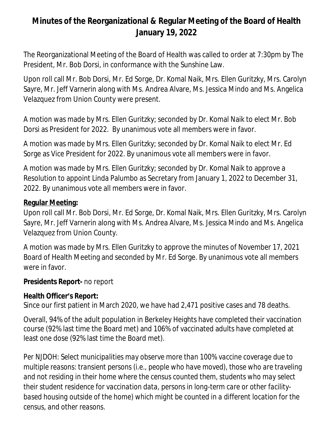# **Minutes of the Reorganizational & Regular Meeting of the Board of Health January 19, 2022**

The Reorganizational Meeting of the Board of Health was called to order at 7:30pm by The President, Mr. Bob Dorsi, in conformance with the Sunshine Law.

Upon roll call Mr. Bob Dorsi, Mr. Ed Sorge, Dr. Komal Naik, Mrs. Ellen Guritzky, Mrs. Carolyn Sayre, Mr. Jeff Varnerin along with Ms. Andrea Alvare, Ms. Jessica Mindo and Ms. Angelica Velazquez from Union County were present.

A motion was made by Mrs. Ellen Guritzky; seconded by Dr. Komal Naik to elect Mr. Bob Dorsi as President for 2022. By unanimous vote all members were in favor.

A motion was made by Mrs. Ellen Guritzky; seconded by Dr. Komal Naik to elect Mr. Ed Sorge as Vice President for 2022. By unanimous vote all members were in favor.

A motion was made by Mrs. Ellen Guritzky; seconded by Dr. Komal Naik to approve a Resolution to appoint Linda Palumbo as Secretary from January 1, 2022 to December 31, 2022. By unanimous vote all members were in favor.

### **Regular Meeting:**

Upon roll call Mr. Bob Dorsi, Mr. Ed Sorge, Dr. Komal Naik, Mrs. Ellen Guritzky, Mrs. Carolyn Sayre, Mr. Jeff Varnerin along with Ms. Andrea Alvare, Ms. Jessica Mindo and Ms. Angelica Velazquez from Union County.

A motion was made by Mrs. Ellen Guritzky to approve the minutes of November 17, 2021 Board of Health Meeting and seconded by Mr. Ed Sorge. By unanimous vote all members were in favor.

#### **Presidents Report-** no report

#### **Health Officer's Report:**

Since our first patient in March 2020, we have had 2,471 positive cases and 78 deaths.

Overall, 94% of the adult population in Berkeley Heights have completed their vaccination course (92% last time the Board met) and 106% of vaccinated adults have completed at least one dose (92% last time the Board met).

*Per NJDOH: Select municipalities may observe more than 100% vaccine coverage due to multiple reasons: transient persons (i.e., people who have moved), those who are traveling and not residing in their home where the census counted them, students who may select their student residence for vaccination data, persons in long-term care or other facilitybased housing outside of the home) which might be counted in a different location for the census, and other reasons.*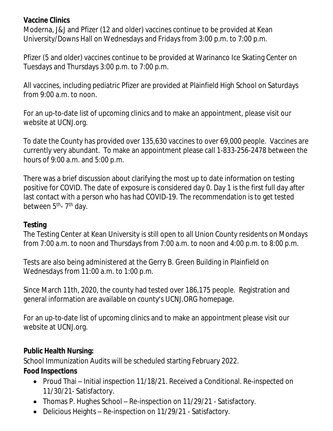### **Vaccine Clinics**

Moderna, J&J and Pfizer (12 and older) vaccines continue to be provided at Kean University/Downs Hall on Wednesdays and Fridays from 3:00 p.m. to 7:00 p.m.

Pfizer (5 and older) vaccines continue to be provided at Warinanco Ice Skating Center on Tuesdays and Thursdays 3:00 p.m. to 7:00 p.m.

All vaccines, including pediatric Pfizer are provided at Plainfield High School on Saturdays from 9:00 a.m. to noon.

For an up-to-date list of upcoming clinics and to make an appointment, please visit our website at UCNJ.org.

To date the County has provided over 135,630 vaccines to over 69,000 people. Vaccines are currently very abundant. To make an appointment please call 1-833-256-2478 between the hours of 9:00 a.m. and 5:00 p.m.

There was a brief discussion about clarifying the most up to date information on testing positive for COVID. The date of exposure is considered day 0. Day 1 is the first full day after last contact with a person who has had COVID-19. The recommendation is to get tested between 5<sup>th</sup>- 7<sup>th</sup> day.

### **Testing**

The Testing Center at Kean University is still open to all Union County residents on Mondays from 7:00 a.m. to noon and Thursdays from 7:00 a.m. to noon and 4:00 p.m. to 8:00 p.m.

Tests are also being administered at the Gerry B. Green Building in Plainfield on Wednesdays from 11:00 a.m. to 1:00 p.m.

Since March 11th, 2020, the county had tested over 186,175 people. Registration and general information are available on county's UCNJ.ORG homepage.

For an up-to-date list of upcoming clinics and to make an appointment please visit our website at UCNJ.org.

### **Public Health Nursing:**

School Immunization Audits will be scheduled starting February 2022.

### **Food Inspections**

- Proud Thai Initial inspection 11/18/21. Received a Conditional. Re-inspected on 11/30/21- Satisfactory.
- Thomas P. Hughes School Re-inspection on 11/29/21 Satisfactory.
- Delicious Heights Re-inspection on 11/29/21 Satisfactory.